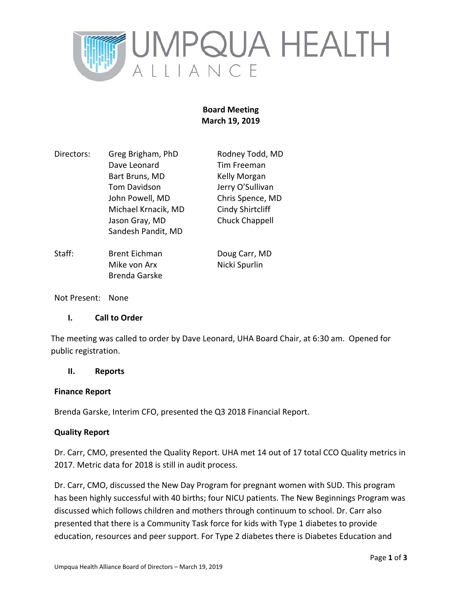

# **Board Meeting March 19, 2019**

| Directors: | Greg Brigham, PhD   | Rodney Todd, MD         |
|------------|---------------------|-------------------------|
|            | Dave Leonard        | Tim Freeman             |
|            | Bart Bruns, MD      | Kelly Morgan            |
|            | Tom Davidson        | Jerry O'Sullivan        |
|            | John Powell, MD     | Chris Spence, MD        |
|            | Michael Krnacik, MD | <b>Cindy Shirtcliff</b> |
|            | Jason Gray, MD      | <b>Chuck Chappell</b>   |
|            | Sandesh Pandit, MD  |                         |
|            |                     |                         |
|            |                     |                         |

Staff: Brent Eichman Doug Carr, MD Mike von Arx Nicki Spurlin Brenda Garske

Not Present: None

# **I. Call to Order**

The meeting was called to order by Dave Leonard, UHA Board Chair, at 6:30 am. Opened for public registration.

#### **II. Reports**

#### **Finance Report**

Brenda Garske, Interim CFO, presented the Q3 2018 Financial Report.

#### **Quality Report**

Dr. Carr, CMO, presented the Quality Report. UHA met 14 out of 17 total CCO Quality metrics in 2017. Metric data for 2018 is still in audit process.

Dr. Carr, CMO, discussed the New Day Program for pregnant women with SUD. This program has been highly successful with 40 births; four NICU patients. The New Beginnings Program was discussed which follows children and mothers through continuum to school. Dr. Carr also presented that there is a Community Task force for kids with Type 1 diabetes to provide education, resources and peer support. For Type 2 diabetes there is Diabetes Education and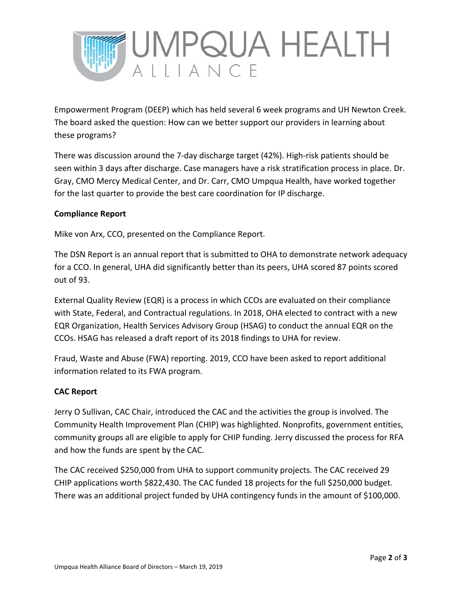

Empowerment Program (DEEP) which has held several 6 week programs and UH Newton Creek. The board asked the question: How can we better support our providers in learning about these programs?

There was discussion around the 7‐day discharge target (42%). High‐risk patients should be seen within 3 days after discharge. Case managers have a risk stratification process in place. Dr. Gray, CMO Mercy Medical Center, and Dr. Carr, CMO Umpqua Health, have worked together for the last quarter to provide the best care coordination for IP discharge.

# **Compliance Report**

Mike von Arx, CCO, presented on the Compliance Report.

The DSN Report is an annual report that is submitted to OHA to demonstrate network adequacy for a CCO. In general, UHA did significantly better than its peers, UHA scored 87 points scored out of 93.

External Quality Review (EQR) is a process in which CCOs are evaluated on their compliance with State, Federal, and Contractual regulations. In 2018, OHA elected to contract with a new EQR Organization, Health Services Advisory Group (HSAG) to conduct the annual EQR on the CCOs. HSAG has released a draft report of its 2018 findings to UHA for review.

Fraud, Waste and Abuse (FWA) reporting. 2019, CCO have been asked to report additional information related to its FWA program.

# **CAC Report**

Jerry O Sullivan, CAC Chair, introduced the CAC and the activities the group is involved. The Community Health Improvement Plan (CHIP) was highlighted. Nonprofits, government entities, community groups all are eligible to apply for CHIP funding. Jerry discussed the process for RFA and how the funds are spent by the CAC.

The CAC received \$250,000 from UHA to support community projects. The CAC received 29 CHIP applications worth \$822,430. The CAC funded 18 projects for the full \$250,000 budget. There was an additional project funded by UHA contingency funds in the amount of \$100,000.